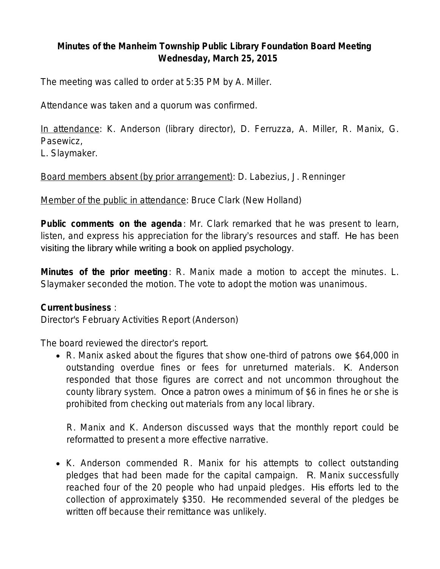## **Minutes of the Manheim Township Public Library Foundation Board Meeting Wednesday, March 25, 2015**

The meeting was called to order at 5:35 PM by A. Miller.

Attendance was taken and a quorum was confirmed.

In attendance: K. Anderson (library director), D. Ferruzza, A. Miller, R. Manix, G. Pasewicz,

L. Slaymaker.

Board members absent (by prior arrangement): D. Labezius, J. Renninger

Member of the public in attendance: Bruce Clark (New Holland)

**Public comments on the agenda**: Mr. Clark remarked that he was present to learn, listen, and express his appreciation for the library's resources and staff. He has been visiting the library while writing a book on applied psychology.

**Minutes of the prior meeting**: R. Manix made a motion to accept the minutes. L. Slaymaker seconded the motion. The vote to adopt the motion was unanimous.

#### **Current business** :

Director's February Activities Report (Anderson)

The board reviewed the director's report.

 R. Manix asked about the figures that show one-third of patrons owe \$64,000 in outstanding overdue fines or fees for unreturned materials. K. Anderson responded that those figures are correct and not uncommon throughout the county library system. Once a patron owes a minimum of \$6 in fines he or she is prohibited from checking out materials from any local library.

R. Manix and K. Anderson discussed ways that the monthly report could be reformatted to present a more effective narrative.

• K. Anderson commended R. Manix for his attempts to collect outstanding pledges that had been made for the capital campaign. R. Manix successfully reached four of the 20 people who had unpaid pledges. His efforts led to the collection of approximately \$350. He recommended several of the pledges be written off because their remittance was unlikely.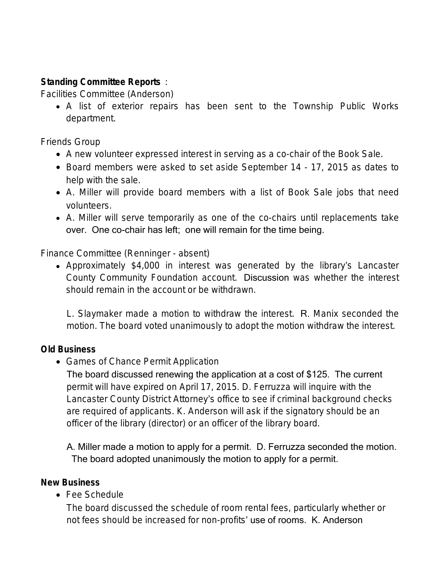# **Standing Committee Reports** :

Facilities Committee (Anderson)

 A list of exterior repairs has been sent to the Township Public Works department.

Friends Group

- A new volunteer expressed interest in serving as a co-chair of the Book Sale.
- Board members were asked to set aside September 14 17, 2015 as dates to help with the sale.
- A. Miller will provide board members with a list of Book Sale jobs that need volunteers.
- A. Miller will serve temporarily as one of the co-chairs until replacements take over. One co-chair has left; one will remain for the time being.

Finance Committee (Renninger - absent)

 Approximately \$4,000 in interest was generated by the library's Lancaster County Community Foundation account. Discussion was whether the interest should remain in the account or be withdrawn.

L. Slaymaker made a motion to withdraw the interest. R. Manix seconded the motion. The board voted unanimously to adopt the motion withdraw the interest.

## **Old Business**

• Games of Chance Permit Application

The board discussed renewing the application at a cost of \$125. The current permit will have expired on April 17, 2015. D. Ferruzza will inquire with the Lancaster County District Attorney's office to see if criminal background checks are required of applicants. K. Anderson will ask if the signatory should be an officer of the library (director) or an officer of the library board.

A. Miller made a motion to apply for a permit. D. Ferruzza seconded the motion. The board adopted unanimously the motion to apply for a permit.

#### **New Business**

Fee Schedule

The board discussed the schedule of room rental fees, particularly whether or not fees should be increased for non-profits' use of rooms. K. Anderson